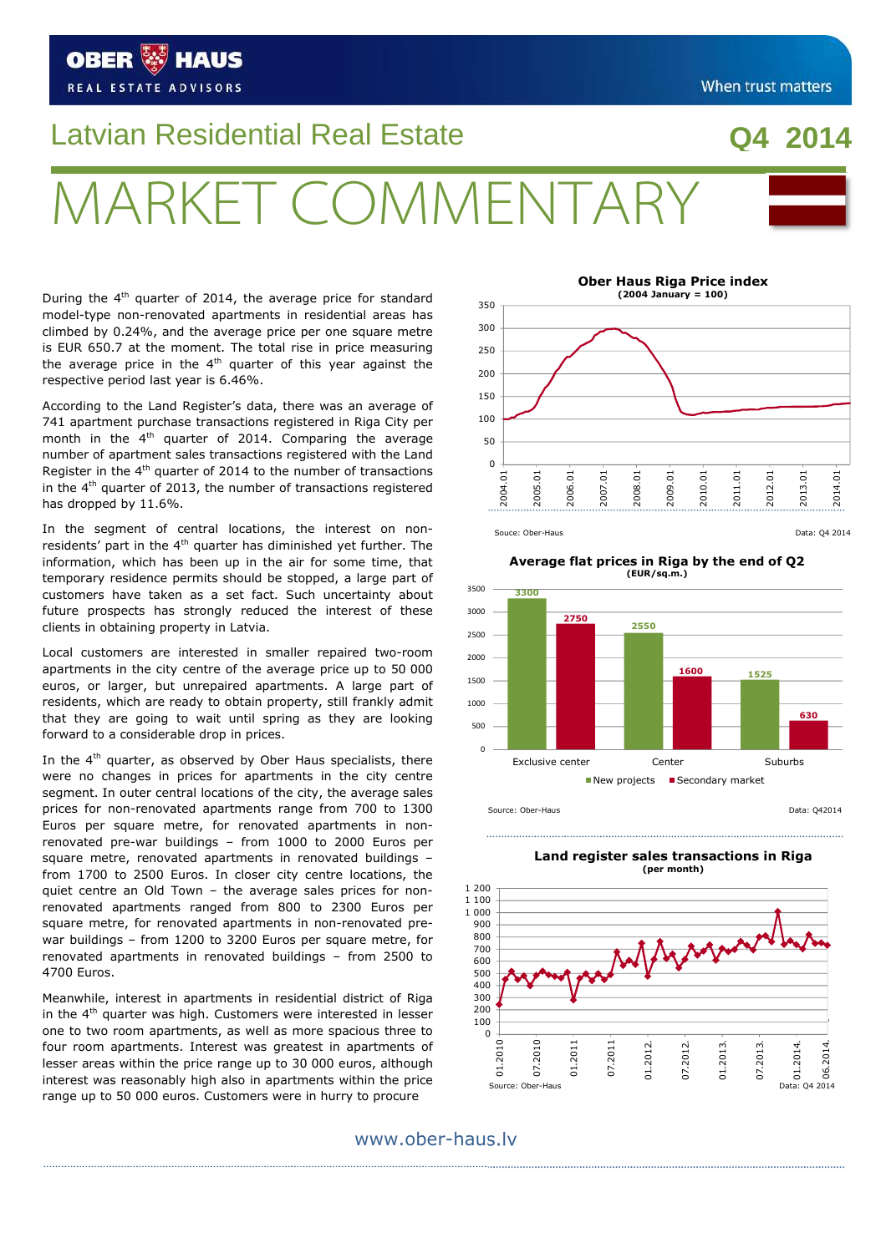#### In the  $4<sup>th</sup>$  quarter, as observed by Ober Haus specialists, there

were no changes in prices for apartments in the city centre segment. In outer central locations of the city, the average sales prices for non-renovated apartments range from 700 to 1300 Euros per square metre, for renovated apartments in nonrenovated pre-war buildings – from 1000 to 2000 Euros per square metre, renovated apartments in renovated buildings – from 1700 to 2500 Euros. In closer city centre locations, the quiet centre an Old Town – the average sales prices for nonrenovated apartments ranged from 800 to 2300 Euros per square metre, for renovated apartments in non-renovated prewar buildings – from 1200 to 3200 Euros per square metre, for renovated apartments in renovated buildings – from 2500 to 4700 Euros.

Meanwhile, interest in apartments in residential district of Riga in the  $4<sup>th</sup>$  quarter was high. Customers were interested in lesser one to two room apartments, as well as more spacious three to four room apartments. Interest was greatest in apartments of lesser areas within the price range up to 30 000 euros, although interest was reasonably high also in apartments within the price range up to 50 000 euros. Customers were in hurry to procure

 $\ddot{\phantom{0}}$ 

#### **Average flat prices in Riga by the end of Q2 (EUR/sq.m.)**

**3300**

3000 3500

350

**2750**





**Ober Haus Riga Price index (2004 January = 100)**

# RKET COMMAENTA

During the  $4<sup>th</sup>$  quarter of 2014, the average price for standard model-type non-renovated apartments in residential areas has climbed by 0.24%, and the average price per one square metre is EUR 650.7 at the moment. The total rise in price measuring the average price in the  $4<sup>th</sup>$  quarter of this year against the respective period last year is 6.46%.

Latvian Residential Real Estate

According to the Land Register's data, there was an average of 741 apartment purchase transactions registered in Riga City per month in the  $4<sup>th</sup>$  quarter of 2014. Comparing the average number of apartment sales transactions registered with the Land Register in the  $4<sup>th</sup>$  quarter of 2014 to the number of transactions in the  $4<sup>th</sup>$  quarter of 2013, the number of transactions registered has dropped by 11.6%.

In the segment of central locations, the interest on nonresidents' part in the 4<sup>th</sup> quarter has diminished yet further. The information, which has been up in the air for some time, that temporary residence permits should be stopped, a large part of customers have taken as a set fact. Such uncertainty about future prospects has strongly reduced the interest of these clients in obtaining property in Latvia.

Local customers are interested in smaller repaired two-room apartments in the city centre of the average price up to 50 000 euros, or larger, but unrepaired apartments. A large part of residents, which are ready to obtain property, still frankly admit that they are going to wait until spring as they are looking forward to a considerable drop in prices.

## **When trust matters**

www.ober-haus.lv



### **Q4 2014**